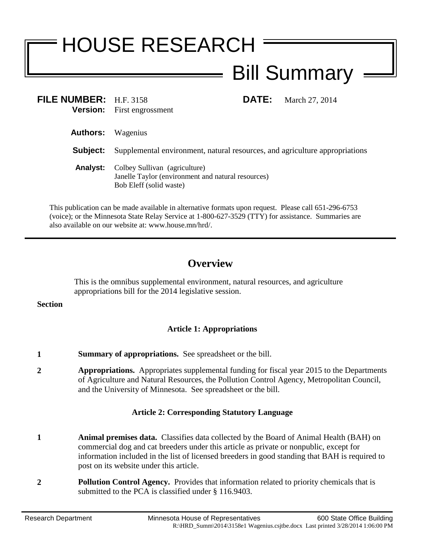# HOUSE RESEARCH Bill Summary

| FILE NUMBER: H.F. 3158                                   | <b>DATE:</b>                      | March 27, 2014                                                                                                                    |
|----------------------------------------------------------|-----------------------------------|-----------------------------------------------------------------------------------------------------------------------------------|
| Wagenius                                                 |                                   |                                                                                                                                   |
|                                                          |                                   |                                                                                                                                   |
| Colbey Sullivan (agriculture)<br>Bob Eleff (solid waste) |                                   |                                                                                                                                   |
|                                                          | <b>Version:</b> First engrossment | Supplemental environment, natural resources, and agriculture appropriations<br>Janelle Taylor (environment and natural resources) |

This publication can be made available in alternative formats upon request. Please call 651-296-6753 (voice); or the Minnesota State Relay Service at 1-800-627-3529 (TTY) for assistance. Summaries are also available on our website at: www.house.mn/hrd/.

## **Overview**

This is the omnibus supplemental environment, natural resources, and agriculture appropriations bill for the 2014 legislative session.

#### **Section**

### **Article 1: Appropriations**

- **1 Summary of appropriations.** See spreadsheet or the bill.
- **2 Appropriations.** Appropriates supplemental funding for fiscal year 2015 to the Departments of Agriculture and Natural Resources, the Pollution Control Agency, Metropolitan Council, and the University of Minnesota. See spreadsheet or the bill.

#### **Article 2: Corresponding Statutory Language**

- **1 Animal premises data.** Classifies data collected by the Board of Animal Health (BAH) on commercial dog and cat breeders under this article as private or nonpublic, except for information included in the list of licensed breeders in good standing that BAH is required to post on its website under this article.
- **2 Pollution Control Agency.** Provides that information related to priority chemicals that is submitted to the PCA is classified under § 116.9403.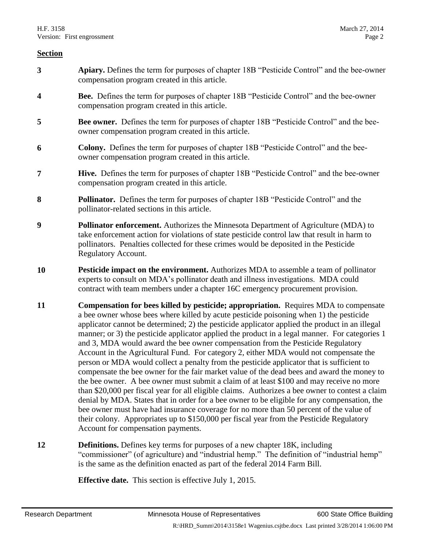- **3 Apiary.** Defines the term for purposes of chapter 18B "Pesticide Control" and the bee-owner compensation program created in this article.
- **4 Bee.** Defines the term for purposes of chapter 18B "Pesticide Control" and the bee-owner compensation program created in this article.
- **5 Bee owner.** Defines the term for purposes of chapter 18B "Pesticide Control" and the beeowner compensation program created in this article.
- **6 Colony.** Defines the term for purposes of chapter 18B "Pesticide Control" and the beeowner compensation program created in this article.
- **7 Hive.** Defines the term for purposes of chapter 18B "Pesticide Control" and the bee-owner compensation program created in this article.
- **8 Pollinator.** Defines the term for purposes of chapter 18B "Pesticide Control" and the pollinator-related sections in this article.
- **9 Pollinator enforcement.** Authorizes the Minnesota Department of Agriculture (MDA) to take enforcement action for violations of state pesticide control law that result in harm to pollinators. Penalties collected for these crimes would be deposited in the Pesticide Regulatory Account.
- **10 Pesticide impact on the environment.** Authorizes MDA to assemble a team of pollinator experts to consult on MDA's pollinator death and illness investigations.MDA could contract with team members under a chapter 16C emergency procurement provision.
- **11 Compensation for bees killed by pesticide; appropriation.** Requires MDA to compensate a bee owner whose bees where killed by acute pesticide poisoning when 1) the pesticide applicator cannot be determined; 2) the pesticide applicator applied the product in an illegal manner; or 3) the pesticide applicator applied the product in a legal manner. For categories 1 and 3, MDA would award the bee owner compensation from the Pesticide Regulatory Account in the Agricultural Fund. For category 2, either MDA would not compensate the person or MDA would collect a penalty from the pesticide applicator that is sufficient to compensate the bee owner for the fair market value of the dead bees and award the money to the bee owner. A bee owner must submit a claim of at least \$100 and may receive no more than \$20,000 per fiscal year for all eligible claims. Authorizes a bee owner to contest a claim denial by MDA. States that in order for a bee owner to be eligible for any compensation, the bee owner must have had insurance coverage for no more than 50 percent of the value of their colony. Appropriates up to \$150,000 per fiscal year from the Pesticide Regulatory Account for compensation payments.
- **12 Definitions.** Defines key terms for purposes of a new chapter 18K, including "commissioner" (of agriculture) and "industrial hemp." The definition of "industrial hemp" is the same as the definition enacted as part of the federal 2014 Farm Bill.

**Effective date.** This section is effective July 1, 2015.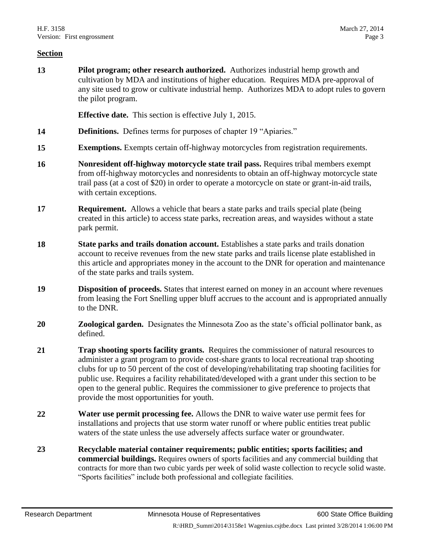**13 Pilot program; other research authorized.** Authorizes industrial hemp growth and cultivation by MDA and institutions of higher education. Requires MDA pre-approval of any site used to grow or cultivate industrial hemp. Authorizes MDA to adopt rules to govern the pilot program.

**Effective date.** This section is effective July 1, 2015.

- 14 **Definitions.** Defines terms for purposes of chapter 19 "Apiaries."
- **15 Exemptions.** Exempts certain off-highway motorcycles from registration requirements.
- **16 Nonresident off-highway motorcycle state trail pass.** Requires tribal members exempt from off-highway motorcycles and nonresidents to obtain an off-highway motorcycle state trail pass (at a cost of \$20) in order to operate a motorcycle on state or grant-in-aid trails, with certain exceptions.
- **17 Requirement.** Allows a vehicle that bears a state parks and trails special plate (being created in this article) to access state parks, recreation areas, and waysides without a state park permit.
- **18 State parks and trails donation account.** Establishes a state parks and trails donation account to receive revenues from the new state parks and trails license plate established in this article and appropriates money in the account to the DNR for operation and maintenance of the state parks and trails system.
- **19 Disposition of proceeds.** States that interest earned on money in an account where revenues from leasing the Fort Snelling upper bluff accrues to the account and is appropriated annually to the DNR.
- **20 Zoological garden.** Designates the Minnesota Zoo as the state's official pollinator bank, as defined.
- **21 Trap shooting sports facility grants.** Requires the commissioner of natural resources to administer a grant program to provide cost-share grants to local recreational trap shooting clubs for up to 50 percent of the cost of developing/rehabilitating trap shooting facilities for public use. Requires a facility rehabilitated/developed with a grant under this section to be open to the general public. Requires the commissioner to give preference to projects that provide the most opportunities for youth.
- **22 Water use permit processing fee.** Allows the DNR to waive water use permit fees for installations and projects that use storm water runoff or where public entities treat public waters of the state unless the use adversely affects surface water or groundwater.
- **23 Recyclable material container requirements; public entities; sports facilities; and commercial buildings.** Requires owners of sports facilities and any commercial building that contracts for more than two cubic yards per week of solid waste collection to recycle solid waste. "Sports facilities" include both professional and collegiate facilities.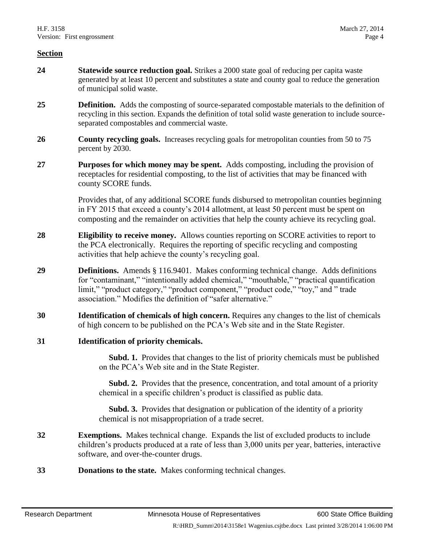- **24 Statewide source reduction goal.** Strikes a 2000 state goal of reducing per capita waste generated by at least 10 percent and substitutes a state and county goal to reduce the generation of municipal solid waste.
- **25 Definition.** Adds the composting of source-separated compostable materials to the definition of recycling in this section. Expands the definition of total solid waste generation to include sourceseparated compostables and commercial waste.
- **26 County recycling goals.** Increases recycling goals for metropolitan counties from 50 to 75 percent by 2030.
- **27 Purposes for which money may be spent.** Adds composting, including the provision of receptacles for residential composting, to the list of activities that may be financed with county SCORE funds.

Provides that, of any additional SCORE funds disbursed to metropolitan counties beginning in FY 2015 that exceed a county's 2014 allotment, at least 50 percent must be spent on composting and the remainder on activities that help the county achieve its recycling goal.

- **28 Eligibility to receive money.** Allows counties reporting on SCORE activities to report to the PCA electronically. Requires the reporting of specific recycling and composting activities that help achieve the county's recycling goal.
- **29 Definitions.** Amends § 116.9401. Makes conforming technical change. Adds definitions for "contaminant," "intentionally added chemical," "mouthable," "practical quantification limit," "product category," "product component," "product code," "toy," and " trade association." Modifies the definition of "safer alternative."
- **30 Identification of chemicals of high concern.** Requires any changes to the list of chemicals of high concern to be published on the PCA's Web site and in the State Register.
- **31 Identification of priority chemicals.**

 **Subd. 1.** Provides that changes to the list of priority chemicals must be published on the PCA's Web site and in the State Register.

 **Subd. 2.** Provides that the presence, concentration, and total amount of a priority chemical in a specific children's product is classified as public data.

 **Subd. 3.** Provides that designation or publication of the identity of a priority chemical is not misappropriation of a trade secret.

- **32 Exemptions.** Makes technical change. Expands the list of excluded products to include children's products produced at a rate of less than 3,000 units per year, batteries, interactive software, and over-the-counter drugs.
- **33 Donations to the state.** Makes conforming technical changes.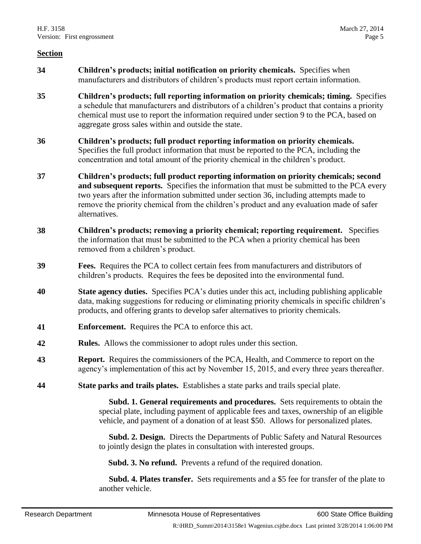- **34 Children's products; initial notification on priority chemicals.** Specifies when manufacturers and distributors of children's products must report certain information.
- **35 Children's products; full reporting information on priority chemicals; timing.** Specifies a schedule that manufacturers and distributors of a children's product that contains a priority chemical must use to report the information required under section 9 to the PCA, based on aggregate gross sales within and outside the state.
- **36 Children's products; full product reporting information on priority chemicals.**  Specifies the full product information that must be reported to the PCA, including the concentration and total amount of the priority chemical in the children's product.
- **37 Children's products; full product reporting information on priority chemicals; second and subsequent reports.** Specifies the information that must be submitted to the PCA every two years after the information submitted under section 36, including attempts made to remove the priority chemical from the children's product and any evaluation made of safer alternatives.
- **38 Children's products; removing a priority chemical; reporting requirement.** Specifies the information that must be submitted to the PCA when a priority chemical has been removed from a children's product.
- **39 Fees.** Requires the PCA to collect certain fees from manufacturers and distributors of children's products. Requires the fees be deposited into the environmental fund.
- **40 State agency duties.** Specifies PCA's duties under this act, including publishing applicable data, making suggestions for reducing or eliminating priority chemicals in specific children's products, and offering grants to develop safer alternatives to priority chemicals.
- **41 Enforcement.** Requires the PCA to enforce this act.
- **42 Rules.** Allows the commissioner to adopt rules under this section.
- **43 Report.** Requires the commissioners of the PCA, Health, and Commerce to report on the agency's implementation of this act by November 15, 2015, and every three years thereafter.
- **44 State parks and trails plates.** Establishes a state parks and trails special plate.

 **Subd. 1. General requirements and procedures.** Sets requirements to obtain the special plate, including payment of applicable fees and taxes, ownership of an eligible vehicle, and payment of a donation of at least \$50. Allows for personalized plates.

 **Subd. 2. Design.** Directs the Departments of Public Safety and Natural Resources to jointly design the plates in consultation with interested groups.

**Subd. 3. No refund.** Prevents a refund of the required donation.

 **Subd. 4. Plates transfer.** Sets requirements and a \$5 fee for transfer of the plate to another vehicle.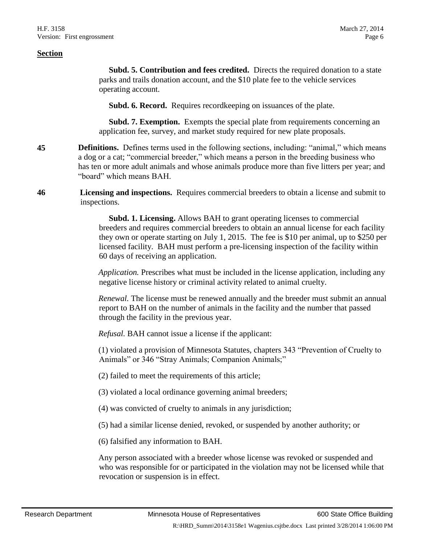**Subd. 5. Contribution and fees credited.** Directs the required donation to a state parks and trails donation account, and the \$10 plate fee to the vehicle services operating account.

**Subd. 6. Record.** Requires recordkeeping on issuances of the plate.

**Subd. 7. Exemption.** Exempts the special plate from requirements concerning an application fee, survey, and market study required for new plate proposals.

- **45 Definitions.** Defines terms used in the following sections, including: "animal," which means a dog or a cat; "commercial breeder," which means a person in the breeding business who has ten or more adult animals and whose animals produce more than five litters per year; and "board" which means BAH.
- **46 Licensing and inspections.** Requires commercial breeders to obtain a license and submit to inspections.

 **Subd. 1. Licensing.** Allows BAH to grant operating licenses to commercial breeders and requires commercial breeders to obtain an annual license for each facility they own or operate starting on July 1, 2015. The fee is \$10 per animal, up to \$250 per licensed facility. BAH must perform a pre-licensing inspection of the facility within 60 days of receiving an application.

*Application.* Prescribes what must be included in the license application, including any negative license history or criminal activity related to animal cruelty.

*Renewal.* The license must be renewed annually and the breeder must submit an annual report to BAH on the number of animals in the facility and the number that passed through the facility in the previous year.

*Refusal.* BAH cannot issue a license if the applicant:

(1) violated a provision of Minnesota Statutes, chapters 343 "Prevention of Cruelty to Animals" or 346 "Stray Animals; Companion Animals;"

(2) failed to meet the requirements of this article;

(3) violated a local ordinance governing animal breeders;

(4) was convicted of cruelty to animals in any jurisdiction;

(5) had a similar license denied, revoked, or suspended by another authority; or

(6) falsified any information to BAH.

Any person associated with a breeder whose license was revoked or suspended and who was responsible for or participated in the violation may not be licensed while that revocation or suspension is in effect.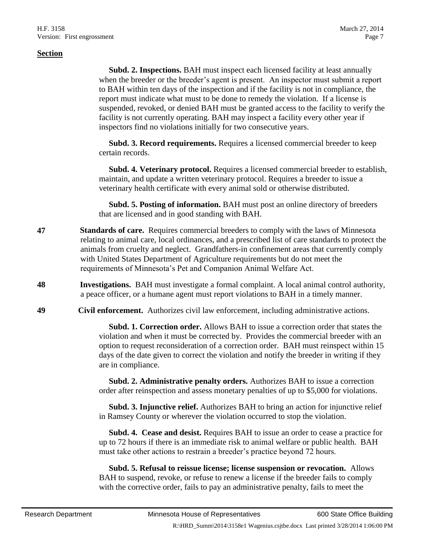**Subd. 2. Inspections.** BAH must inspect each licensed facility at least annually when the breeder or the breeder's agent is present. An inspector must submit a report to BAH within ten days of the inspection and if the facility is not in compliance, the report must indicate what must to be done to remedy the violation. If a license is suspended, revoked, or denied BAH must be granted access to the facility to verify the facility is not currently operating. BAH may inspect a facility every other year if inspectors find no violations initially for two consecutive years.

 **Subd. 3. Record requirements.** Requires a licensed commercial breeder to keep certain records.

 **Subd. 4. Veterinary protocol.** Requires a licensed commercial breeder to establish, maintain, and update a written veterinary protocol. Requires a breeder to issue a veterinary health certificate with every animal sold or otherwise distributed.

 **Subd. 5. Posting of information.** BAH must post an online directory of breeders that are licensed and in good standing with BAH.

- **47 Standards of care.** Requires commercial breeders to comply with the laws of Minnesota relating to animal care, local ordinances, and a prescribed list of care standards to protect the animals from cruelty and neglect. Grandfathers-in confinement areas that currently comply with United States Department of Agriculture requirements but do not meet the requirements of Minnesota's Pet and Companion Animal Welfare Act.
- **48 Investigations.** BAH must investigate a formal complaint. A local animal control authority, a peace officer, or a humane agent must report violations to BAH in a timely manner.
- **49 Civil enforcement.** Authorizes civil law enforcement, including administrative actions.

 **Subd. 1. Correction order.** Allows BAH to issue a correction order that states the violation and when it must be corrected by. Provides the commercial breeder with an option to request reconsideration of a correction order. BAH must reinspect within 15 days of the date given to correct the violation and notify the breeder in writing if they are in compliance.

 **Subd. 2. Administrative penalty orders.** Authorizes BAH to issue a correction order after reinspection and assess monetary penalties of up to \$5,000 for violations.

 **Subd. 3. Injunctive relief.** Authorizes BAH to bring an action for injunctive relief in Ramsey County or wherever the violation occurred to stop the violation.

 **Subd. 4. Cease and desist.** Requires BAH to issue an order to cease a practice for up to 72 hours if there is an immediate risk to animal welfare or public health. BAH must take other actions to restrain a breeder's practice beyond 72 hours.

 **Subd. 5. Refusal to reissue license; license suspension or revocation.** Allows BAH to suspend, revoke, or refuse to renew a license if the breeder fails to comply with the corrective order, fails to pay an administrative penalty, fails to meet the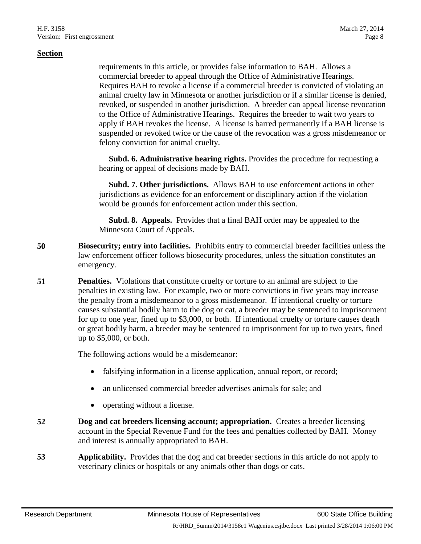requirements in this article, or provides false information to BAH. Allows a commercial breeder to appeal through the Office of Administrative Hearings. Requires BAH to revoke a license if a commercial breeder is convicted of violating an animal cruelty law in Minnesota or another jurisdiction or if a similar license is denied, revoked, or suspended in another jurisdiction. A breeder can appeal license revocation to the Office of Administrative Hearings. Requires the breeder to wait two years to apply if BAH revokes the license. A license is barred permanently if a BAH license is suspended or revoked twice or the cause of the revocation was a gross misdemeanor or felony conviction for animal cruelty.

 **Subd. 6. Administrative hearing rights.** Provides the procedure for requesting a hearing or appeal of decisions made by BAH.

 **Subd. 7. Other jurisdictions.** Allows BAH to use enforcement actions in other jurisdictions as evidence for an enforcement or disciplinary action if the violation would be grounds for enforcement action under this section.

 **Subd. 8. Appeals.** Provides that a final BAH order may be appealed to the Minnesota Court of Appeals.

- **50 Biosecurity; entry into facilities.** Prohibits entry to commercial breeder facilities unless the law enforcement officer follows biosecurity procedures, unless the situation constitutes an emergency.
- **51 Penalties.** Violations that constitute cruelty or torture to an animal are subject to the penalties in existing law. For example, two or more convictions in five years may increase the penalty from a misdemeanor to a gross misdemeanor. If intentional cruelty or torture causes substantial bodily harm to the dog or cat, a breeder may be sentenced to imprisonment for up to one year, fined up to \$3,000, or both. If intentional cruelty or torture causes death or great bodily harm, a breeder may be sentenced to imprisonment for up to two years, fined up to \$5,000, or both.

The following actions would be a misdemeanor:

- falsifying information in a license application, annual report, or record;
- an unlicensed commercial breeder advertises animals for sale; and
- operating without a license.
- **52 Dog and cat breeders licensing account; appropriation.** Creates a breeder licensing account in the Special Revenue Fund for the fees and penalties collected by BAH. Money and interest is annually appropriated to BAH.
- **53 Applicability.** Provides that the dog and cat breeder sections in this article do not apply to veterinary clinics or hospitals or any animals other than dogs or cats.